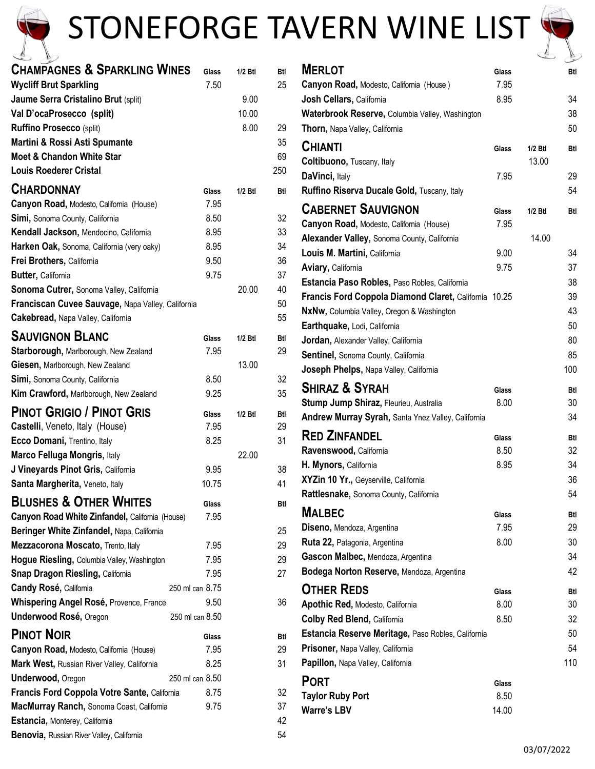

## STONEFORGE TAVERN WINE LIST



| $\Xi$<br>$\vec{P}$                                 |                 |           |     |
|----------------------------------------------------|-----------------|-----------|-----|
| <b>CHAMPAGNES &amp; SPARKLING WINES</b>            | Glass           | $1/2$ Btl | Btl |
| <b>Wycliff Brut Sparkling</b>                      | 7.50            |           | 25  |
| Jaume Serra Cristalino Brut (split)                |                 | 9.00      |     |
| Val D'ocaProsecco (split)                          |                 | 10.00     |     |
| <b>Ruffino Prosecco (split)</b>                    |                 | 8.00      | 29  |
| Martini & Rossi Asti Spumante                      |                 |           | 35  |
| <b>Moet &amp; Chandon White Star</b>               |                 |           | 69  |
| <b>Louis Roederer Cristal</b>                      |                 |           | 250 |
| <b>CHARDONNAY</b>                                  | Glass           | $1/2$ Btl | Btl |
| Canyon Road, Modesto, California (House)           | 7.95            |           |     |
| Simi, Sonoma County, California                    | 8.50            |           | 32  |
| Kendall Jackson, Mendocino, California             | 8.95            |           | 33  |
| Harken Oak, Sonoma, California (very oaky)         | 8.95            |           | 34  |
| Frei Brothers, California                          | 9.50            |           | 36  |
| Butter, California                                 | 9.75            |           | 37  |
| <b>Sonoma Cutrer, Sonoma Valley, California</b>    |                 | 20.00     | 40  |
| Franciscan Cuvee Sauvage, Napa Valley, California  |                 |           | 50  |
| Cakebread, Napa Valley, California                 |                 |           | 55  |
|                                                    |                 |           |     |
| <b>SAUVIGNON BLANC</b>                             | Glass           | 1/2 Btl   | Btl |
| <b>Starborough, Marlborough, New Zealand</b>       | 7.95            |           | 29  |
| Giesen, Marlborough, New Zealand                   |                 | 13.00     |     |
| Simi, Sonoma County, California                    | 8.50            |           | 32  |
| <b>Kim Crawford, Marlborough, New Zealand</b>      | 9.25            |           | 35  |
| <b>PINOT GRIGIO / PINOT GRIS</b>                   | Glass           | 1/2 Btl   | Btl |
| Castelli, Veneto, Italy (House)                    | 7.95            |           | 29  |
| Ecco Domani, Trentino, Italy                       | 8.25            |           | 31  |
| Marco Felluga Mongris, Italy                       |                 | 22.00     |     |
| J Vineyards Pinot Gris, California                 | 9.95            |           | 38  |
| Santa Margherita, Veneto, Italy                    | 10.75           |           | 41  |
| <b>BLUSHES &amp; OTHER WHITES</b>                  |                 |           |     |
| Canyon Road White Zinfandel, California (House)    | Glass<br>7.95   |           | Btl |
| Beringer White Zinfandel, Napa, California         |                 |           | 25  |
| Mezzacorona Moscato, Trento, Italy                 | 7.95            |           | 29  |
| <b>Hogue Riesling, Columbia Valley, Washington</b> | 7.95            |           | 29  |
| <b>Snap Dragon Riesling, California</b>            | 7.95            |           | 27  |
| <b>Candy Rosé, California</b>                      | 250 ml can 8.75 |           |     |
| <b>Whispering Angel Rosé, Provence, France</b>     | 9.50            |           | 36  |
|                                                    | 250 ml can 8.50 |           |     |
| Underwood Rosé, Oregon                             |                 |           |     |
| <b>PINOT NOIR</b>                                  | Glass           |           | Btl |
| Canyon Road, Modesto, California (House)           | 7.95            |           | 29  |
| Mark West, Russian River Valley, California        | 8.25            |           | 31  |
| <b>Underwood, Oregon</b>                           | 250 ml can 8.50 |           |     |
| Francis Ford Coppola Votre Sante, California       | 8.75            |           | 32  |
| MacMurray Ranch, Sonoma Coast, California          | 9.75            |           | 37  |
| Estancia, Monterey, California                     |                 |           | 42  |
| Benovia, Russian River Valley, California          |                 |           | 54  |

| <b>MERLOT</b>                                         | Glass |           | Btl |
|-------------------------------------------------------|-------|-----------|-----|
| Canyon Road, Modesto, Califomia (House)               | 7.95  |           |     |
| Josh Cellars, California                              | 8.95  |           | 34  |
| Waterbrook Reserve, Columbia Valley, Washington       |       |           | 38  |
| Thorn, Napa Valley, California                        |       |           | 50  |
| <b>CHIANTI</b>                                        | Glass | $1/2$ Btl | Btl |
| Coltibuono, Tuscany, Italy                            |       | 13.00     |     |
| DaVinci, Italy                                        | 7.95  |           | 29  |
| Ruffino Riserva Ducale Gold, Tuscany, Italy           |       |           | 54  |
| <b>CABERNET SAUVIGNON</b>                             | Glass | 1/2 Btl   | Btl |
| <b>Canyon Road, Modesto, California (House)</b>       | 7.95  |           |     |
| Alexander Valley, Sonoma County, California           |       | 14.00     |     |
| Louis M. Martini, California                          | 9.00  |           | 34  |
| Aviary, California                                    | 9.75  |           | 37  |
| Estancia Paso Robles, Paso Robles, California         |       |           | 38  |
| Francis Ford Coppola Diamond Claret, California 10.25 |       |           | 39  |
| NxNw, Columbia Valley, Oregon & Washington            |       |           | 43  |
| Earthquake, Lodi, California                          |       |           | 50  |
| Jordan, Alexander Valley, California                  |       |           | 80  |
| Sentinel, Sonoma County, California                   |       |           | 85  |
| Joseph Phelps, Napa Valley, California                |       |           | 100 |
| Shiraz & Syrah                                        | Glass |           | Btl |
| Stump Jump Shiraz, Fleurieu, Australia                | 8.00  |           | 30  |
| Andrew Murray Syrah, Santa Ynez Valley, California    |       |           | 34  |
| <b>RED ZINFANDEL</b>                                  | Glass |           | Btl |
| Ravenswood, California                                | 8.50  |           | 32  |
| H. Mynors, California                                 | 8.95  |           | 34  |
| XYZin 10 Yr., Geyserville, California                 |       |           | 36  |
| Rattlesnake, Sonoma County, California                |       |           | 54  |
| <b>MALBEC</b>                                         | Glass |           | Btl |
| Diseno, Mendoza, Argentina                            | 7.95  |           | 29  |
| Ruta 22, Patagonia, Argentina                         | 8.00  |           | 30  |
| Gascon Malbec, Mendoza, Argentina                     |       |           | 34  |
| Bodega Norton Reserve, Mendoza, Argentina             |       |           | 42  |
| <b>OTHER REDS</b>                                     | Glass |           | Btl |
| Apothic Red, Modesto, California                      | 8.00  |           | 30  |
| <b>Colby Red Blend, California</b>                    | 8.50  |           | 32  |
| Estancia Reserve Meritage, Paso Robles, California    |       |           | 50  |
| Prisoner, Napa Valley, California                     |       |           | 54  |
| Papillon, Napa Valley, California                     |       |           | 110 |
| <b>PORT</b>                                           | Glass |           |     |
| <b>Taylor Ruby Port</b>                               | 8.50  |           |     |
| <b>Warre's LBV</b>                                    | 14.00 |           |     |
|                                                       |       |           |     |